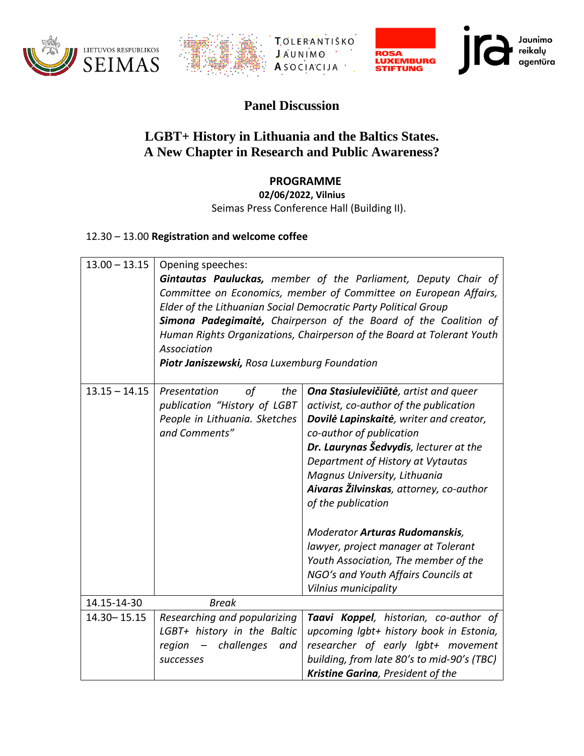





## **Panel Discussion**

## **LGBT+ History in Lithuania and the Baltics States. A New Chapter in Research and Public Awareness?**

## **PROGRAMME**

**02/06/2022, Vilnius**

Seimas Press Conference Hall (Building II).

## 12.30 – 13.00 **Registration and welcome coffee**

| $13.00 - 13.15$ | Opening speeches:<br>Gintautas Pauluckas, member of the Parliament, Deputy Chair of<br>Committee on Economics, member of Committee on European Affairs,<br>Elder of the Lithuanian Social Democratic Party Political Group<br>Simona Padegimaite, Chairperson of the Board of the Coalition of<br>Human Rights Organizations, Chairperson of the Board at Tolerant Youth<br>Association<br>Piotr Janiszewski, Rosa Luxemburg Foundation |                                                                                                                                                                                                                                                                                                                                                                                                                                                                                                                               |  |  |  |  |
|-----------------|-----------------------------------------------------------------------------------------------------------------------------------------------------------------------------------------------------------------------------------------------------------------------------------------------------------------------------------------------------------------------------------------------------------------------------------------|-------------------------------------------------------------------------------------------------------------------------------------------------------------------------------------------------------------------------------------------------------------------------------------------------------------------------------------------------------------------------------------------------------------------------------------------------------------------------------------------------------------------------------|--|--|--|--|
| $13.15 - 14.15$ | Presentation<br>the<br>οf<br>publication "History of LGBT<br>People in Lithuania. Sketches<br>and Comments"                                                                                                                                                                                                                                                                                                                             | Ona Stasiulevičiūtė, artist and queer<br>activist, co-author of the publication<br>Dovilė Lapinskaitė, writer and creator,<br>co-author of publication<br>Dr. Laurynas Šedvydis, lecturer at the<br>Department of History at Vytautas<br>Magnus University, Lithuania<br>Aivaras Žilvinskas, attorney, co-author<br>of the publication<br><b>Moderator Arturas Rudomanskis,</b><br>lawyer, project manager at Tolerant<br>Youth Association, The member of the<br>NGO's and Youth Affairs Councils at<br>Vilnius municipality |  |  |  |  |
| 14.15-14-30     | <b>Break</b>                                                                                                                                                                                                                                                                                                                                                                                                                            |                                                                                                                                                                                                                                                                                                                                                                                                                                                                                                                               |  |  |  |  |
| 14.30 - 15.15   | Researching and popularizing<br>LGBT+ history in the Baltic<br>challenges<br>region<br>and<br>$-$<br>successes                                                                                                                                                                                                                                                                                                                          | Taavi Koppel, historian, co-author of<br>upcoming lgbt+ history book in Estonia,<br>researcher of early lgbt+ movement<br>building, from late 80's to mid-90's (TBC)<br>Kristine Garina, President of the                                                                                                                                                                                                                                                                                                                     |  |  |  |  |